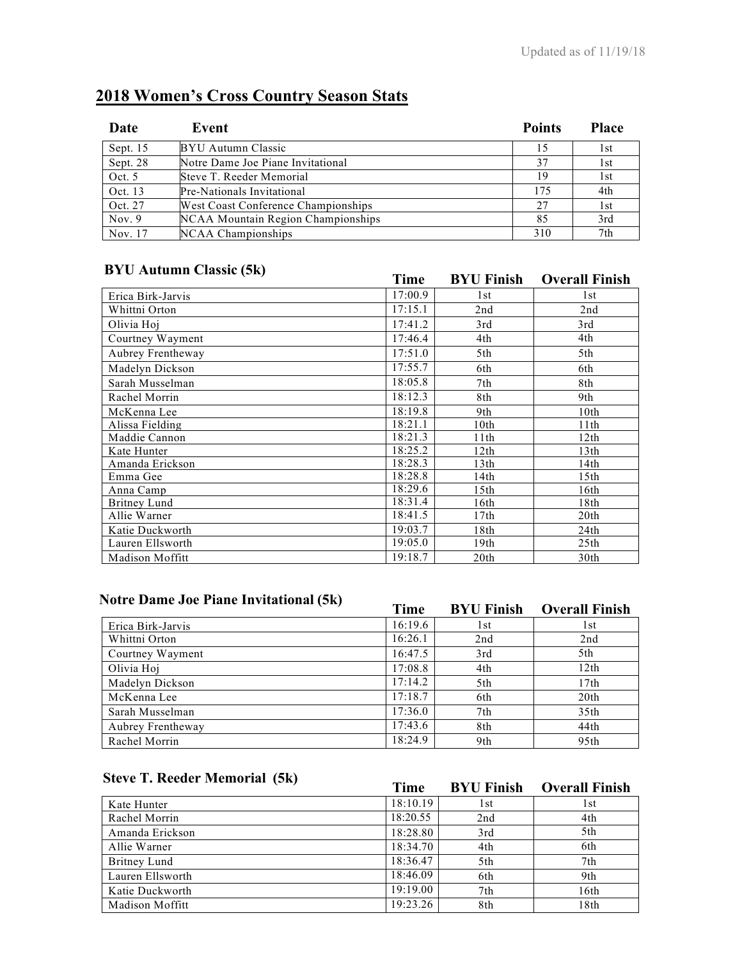| Date       | Event                               | <b>Points</b> | <b>Place</b> |
|------------|-------------------------------------|---------------|--------------|
| Sept. $15$ | BYU Autumn Classic                  | 15            | 1st          |
| Sept. 28   | Notre Dame Joe Piane Invitational   | 37            | 1st          |
| Oct. $5$   | Steve T. Reeder Memorial            | 19            | 1st          |
| Oct. 13    | Pre-Nationals Invitational          | 175           | 4th          |
| Oct. 27    | West Coast Conference Championships | 27            | 1st          |
| Nov. $9$   | NCAA Mountain Region Championships  | 85            | 3rd          |
| Nov. 17    | NCAA Championships                  | 310           | 7th          |

# **2018 Women's Cross Country Season Stats**

## **BYU Autumn Classic (5k) Time BYU Finish Overall Finish**

|                   | 1 ıme   | BYU FINISN       | Overall Finish   |
|-------------------|---------|------------------|------------------|
| Erica Birk-Jarvis | 17:00.9 | 1st              | 1st              |
| Whittni Orton     | 17:15.1 | 2nd              | 2nd              |
| Olivia Hoj        | 17:41.2 | 3rd              | 3rd              |
| Courtney Wayment  | 17:46.4 | 4th              | 4th              |
| Aubrey Frentheway | 17:51.0 | 5th              | 5th              |
| Madelyn Dickson   | 17:55.7 | 6th              | 6th              |
| Sarah Musselman   | 18:05.8 | 7th              | 8th              |
| Rachel Morrin     | 18:12.3 | 8th              | 9th              |
| McKenna Lee       | 18:19.8 | 9th              | 10 <sub>th</sub> |
| Alissa Fielding   | 18:21.1 | 10 <sub>th</sub> | 11th             |
| Maddie Cannon     | 18:21.3 | 11th             | 12th             |
| Kate Hunter       | 18:25.2 | 12th             | 13 <sup>th</sup> |
| Amanda Erickson   | 18:28.3 | 13 <sup>th</sup> | 14th             |
| Emma Gee          | 18:28.8 | 14th             | 15 <sub>th</sub> |
| Anna Camp         | 18:29.6 | 15th             | 16th             |
| Britney Lund      | 18:31.4 | 16th             | 18th             |
| Allie Warner      | 18:41.5 | 17th             | 20 <sup>th</sup> |
| Katie Duckworth   | 19:03.7 | 18th             | 24th             |
| Lauren Ellsworth  | 19:05.0 | 19th             | 25 <sub>th</sub> |
| Madison Moffitt   | 19:18.7 | 20 <sub>th</sub> | 30th             |

## **Notre Dame Joe Piane Invitational (5k) Time BYU Finish Overall Finish**

|                   | rune    | BYU FINISH | Overall Finish   |
|-------------------|---------|------------|------------------|
| Erica Birk-Jarvis | 16:19.6 | l st       | l st             |
| Whittni Orton     | 16:26.1 | 2nd        | 2nd              |
| Courtney Wayment  | 16:47.5 | 3rd        | 5th              |
| Olivia Hoj        | 17:08.8 | 4th        | 12th             |
| Madelyn Dickson   | 17:14.2 | 5th        | 17th             |
| McKenna Lee       | 17:18.7 | 6th        | 20 <sub>th</sub> |
| Sarah Musselman   | 17:36.0 | 7th        | 35th             |
| Aubrey Frentheway | 17:43.6 | 8th        | 44th             |
| Rachel Morrin     | 18:24.9 | 9th        | 95th             |

### **Steve T. Reeder Memorial (5k) Time BYU Finish Overall Finish**

|                  | 1 une    | BYU FINISH | Overall Finish |
|------------------|----------|------------|----------------|
| Kate Hunter      | 18:10.19 | l st       | l st           |
| Rachel Morrin    | 18:20.55 | 2nd        | 4th            |
| Amanda Erickson  | 18:28.80 | 3rd        | 5th            |
| Allie Warner     | 18:34.70 | 4th        | 6th            |
| Britney Lund     | 18:36.47 | 5th        | 7th            |
| Lauren Ellsworth | 18:46.09 | 6th        | 9th            |
| Katie Duckworth  | 19:19.00 | 7th        | 16th           |
| Madison Moffitt  | 19:23.26 | 8th        | 18th           |